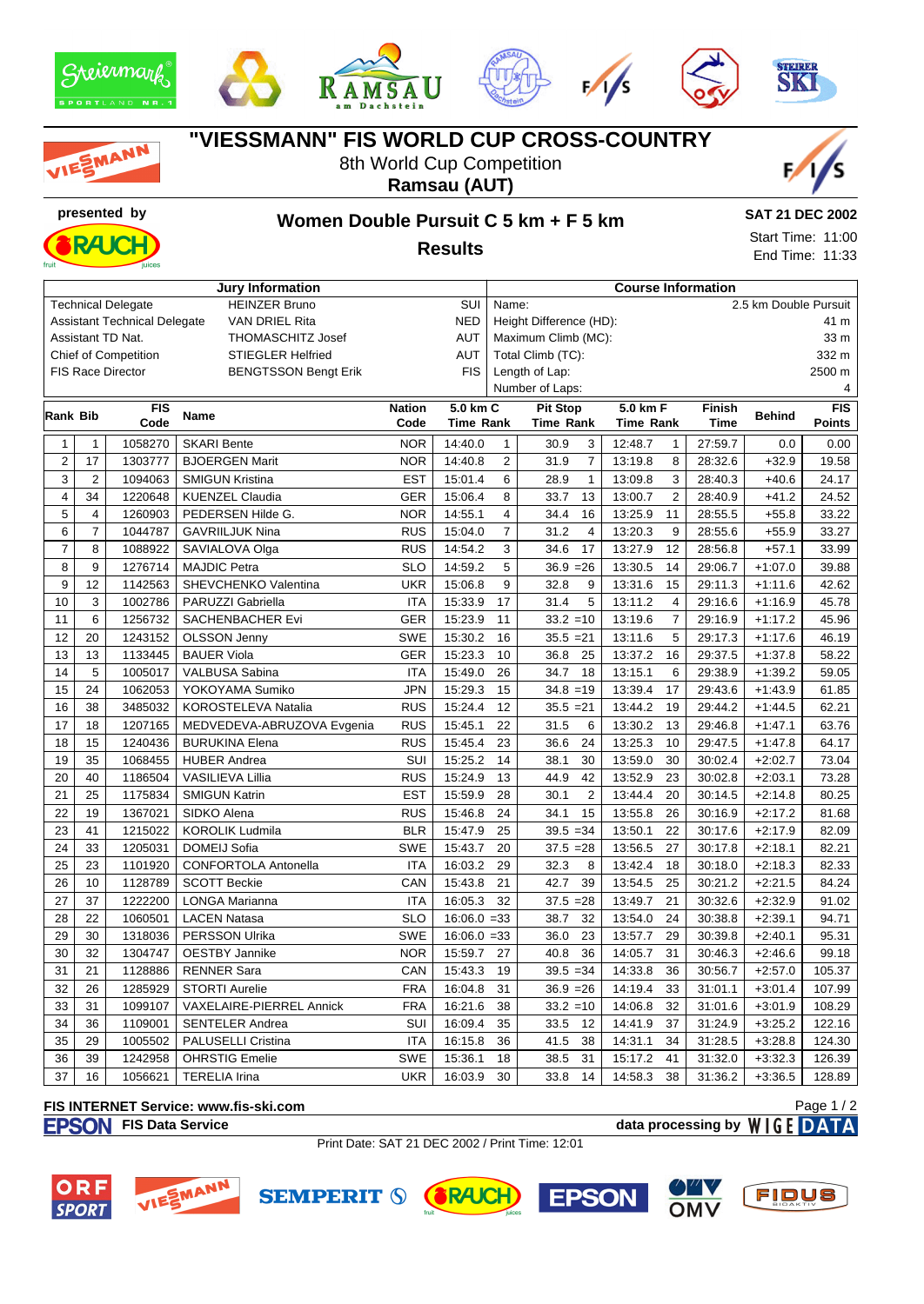









# MANN

## **"VIESSMANN" FIS WORLD CUP CROSS-COUNTRY**

8th World Cup Competition **Ramsau (AUT)**



# **presented by Women Double Pursuit C 5 km + F 5 km**

#### **Results**

**SAT 21 DEC 2002** Start Time: 11:00 End Time: 11:33



| <b>Jury Information</b><br><b>Course Information</b>         |                |                          |                             |               |                                 |                      |                        |                           |             |               |            |  |
|--------------------------------------------------------------|----------------|--------------------------|-----------------------------|---------------|---------------------------------|----------------------|------------------------|---------------------------|-------------|---------------|------------|--|
| <b>HEINZER Bruno</b><br>SUI<br><b>Technical Delegate</b>     |                |                          |                             |               | 2.5 km Double Pursuit<br>Name:  |                      |                        |                           |             |               |            |  |
| <b>Assistant Technical Delegate</b><br><b>VAN DRIEL Rita</b> |                |                          |                             | <b>NED</b>    | Height Difference (HD):<br>41 m |                      |                        |                           |             |               |            |  |
| Assistant TD Nat.<br><b>THOMASCHITZ Josef</b>                |                |                          |                             | <b>AUT</b>    | Maximum Climb (MC):<br>33 m     |                      |                        |                           |             |               |            |  |
| <b>Chief of Competition</b><br><b>STIEGLER Helfried</b>      |                |                          |                             | <b>AUT</b>    |                                 | Total Climb (TC):    |                        |                           |             | 332 m         |            |  |
|                                                              |                | <b>FIS Race Director</b> | <b>BENGTSSON Bengt Erik</b> |               | <b>FIS</b>                      |                      | Length of Lap:         |                           |             |               | 2500 m     |  |
|                                                              |                |                          |                             |               |                                 | Number of Laps:<br>4 |                        |                           |             |               |            |  |
| Rank Bib                                                     |                | <b>FIS</b>               | <b>Name</b>                 | <b>Nation</b> | 5.0 km C                        |                      | <b>Pit Stop</b>        | 5.0 km F                  | Finish      | <b>Behind</b> | <b>FIS</b> |  |
|                                                              |                | Code                     |                             | Code          | <b>Time Rank</b>                |                      | <b>Time Rank</b>       | <b>Time Rank</b>          | <b>Time</b> |               | Points     |  |
| $\mathbf{1}$                                                 | $\mathbf{1}$   | 1058270                  | SKARI Bente                 | <b>NOR</b>    | 14:40.0                         | $\mathbf{1}$         | 30.9<br>3              | 12:48.7<br>$\mathbf{1}$   | 27:59.7     | 0.0           | 0.00       |  |
| $\overline{2}$                                               | 17             | 1303777                  | <b>BJOERGEN Marit</b>       | <b>NOR</b>    | 14:40.8                         | $\overline{2}$       | 31.9<br>$\overline{7}$ | 8<br>13:19.8              | 28:32.6     | $+32.9$       | 19.58      |  |
| 3                                                            | $\mathbf 2$    | 1094063                  | <b>SMIGUN Kristina</b>      | <b>EST</b>    | 15:01.4                         | 6                    | 28.9<br>$\mathbf{1}$   | 3<br>13:09.8              | 28:40.3     | $+40.6$       | 24.17      |  |
| $\overline{\mathbf{4}}$                                      | 34             | 1220648                  | <b>KUENZEL Claudia</b>      | <b>GER</b>    | 15:06.4                         | 8                    | 33.7<br>13             | $\overline{2}$<br>13:00.7 | 28:40.9     | $+41.2$       | 24.52      |  |
| 5                                                            | 4              | 1260903                  | PEDERSEN Hilde G.           | <b>NOR</b>    | 14:55.1                         | 4                    | 34.4<br>16             | 11<br>13:25.9             | 28:55.5     | $+55.8$       | 33.22      |  |
| 6                                                            | $\overline{7}$ | 1044787                  | <b>GAVRIILJUK Nina</b>      | <b>RUS</b>    | 15:04.0                         | $\overline{7}$       | 31.2<br>$\overline{4}$ | 13:20.3<br>9              | 28:55.6     | $+55.9$       | 33.27      |  |
| $\overline{7}$                                               | 8              | 1088922                  | SAVIALOVA Olga              | <b>RUS</b>    | 14:54.2                         | 3                    | 34.6<br>17             | 13:27.9<br>12             | 28:56.8     | $+57.1$       | 33.99      |  |
| 8                                                            | 9              | 1276714                  | <b>MAJDIC Petra</b>         | <b>SLO</b>    | 14:59.2                         | 5                    | $36.9 = 26$            | 13:30.5<br>14             | 29:06.7     | $+1:07.0$     | 39.88      |  |
| 9                                                            | 12             | 1142563                  | SHEVCHENKO Valentina        | <b>UKR</b>    | 15:06.8                         | 9                    | 32.8<br>9              | 13:31.6<br>15             | 29:11.3     | $+1:11.6$     | 42.62      |  |
| 10                                                           | 3              | 1002786                  | PARUZZI Gabriella           | <b>ITA</b>    | 15:33.9                         | 17                   | 31.4<br>5              | 13:11.2<br>$\overline{4}$ | 29:16.6     | $+1:16.9$     | 45.78      |  |
| 11                                                           | 6              | 1256732                  | SACHENBACHER Evi            | GER           | 15:23.9                         | 11                   | $33.2 = 10$            | $\overline{7}$<br>13:19.6 | 29:16.9     | $+1:17.2$     | 45.96      |  |
| 12                                                           | 20             | 1243152                  | <b>OLSSON Jenny</b>         | <b>SWE</b>    | 15:30.2                         | 16                   | $35.5 = 21$            | $\sqrt{5}$<br>13:11.6     | 29:17.3     | $+1:17.6$     | 46.19      |  |
| 13                                                           | 13             | 1133445                  | <b>BAUER Viola</b>          | <b>GER</b>    | 15:23.3                         | 10                   | 36.8<br>25             | 13:37.2<br>16             | 29:37.5     | $+1:37.8$     | 58.22      |  |
| 14                                                           | 5              | 1005017                  | VALBUSA Sabina              | <b>ITA</b>    | 15:49.0                         | 26                   | 34.7<br>18             | 13:15.1<br>6              | 29:38.9     | $+1:39.2$     | 59.05      |  |
| 15                                                           | 24             | 1062053                  | YOKOYAMA Sumiko             | <b>JPN</b>    | 15:29.3                         | 15                   | $34.8 = 19$            | 17<br>13:39.4             | 29:43.6     | $+1:43.9$     | 61.85      |  |
| 16                                                           | 38             | 3485032                  | KOROSTELEVA Natalia         | <b>RUS</b>    | 15:24.4                         | 12                   | $35.5 = 21$            | 13:44.2<br>19             | 29:44.2     | $+1:44.5$     | 62.21      |  |
| 17                                                           | 18             | 1207165                  | MEDVEDEVA-ABRUZOVA Evgenia  | <b>RUS</b>    | 15:45.1                         | 22                   | 31.5<br>6              | 13:30.2<br>13             | 29:46.8     | $+1:47.1$     | 63.76      |  |
| 18                                                           | 15             | 1240436                  | <b>BURUKINA Elena</b>       | <b>RUS</b>    | 15:45.4                         | 23                   | 36.6<br>24             | 13:25.3<br>10             | 29:47.5     | $+1:47.8$     | 64.17      |  |
| 19                                                           | 35             | 1068455                  | <b>HUBER Andrea</b>         | SUI           | 15:25.2                         | 14                   | 38.1<br>30             | 13:59.0<br>30             | 30:02.4     | $+2:02.7$     | 73.04      |  |
| 20                                                           | 40             | 1186504                  | VASILIEVA Lillia            | <b>RUS</b>    | 15:24.9                         | 13                   | 44.9<br>42             | 23<br>13:52.9             | 30:02.8     | $+2:03.1$     | 73.28      |  |
| 21                                                           | 25             | 1175834                  | <b>SMIGUN Katrin</b>        | <b>EST</b>    | 15:59.9                         | 28                   | $\overline{c}$<br>30.1 | 13:44.4<br>20             | 30:14.5     | $+2:14.8$     | 80.25      |  |
| 22                                                           | 19             | 1367021                  | SIDKO Alena                 | <b>RUS</b>    | 15:46.8                         | 24                   | 34.1<br>15             | 13:55.8<br>26             | 30:16.9     | $+2:17.2$     | 81.68      |  |
| 23                                                           | 41             | 1215022                  | <b>KOROLIK Ludmila</b>      | <b>BLR</b>    | 15:47.9                         | 25                   | $39.5 = 34$            | 22<br>13:50.1             | 30:17.6     | $+2:17.9$     | 82.09      |  |
| 24                                                           | 33             | 1205031                  | DOMEIJ Sofia                | <b>SWE</b>    | 15:43.7                         | 20                   | $37.5 = 28$            | 13:56.5<br>27             | 30:17.8     | $+2:18.1$     | 82.21      |  |
| 25                                                           | 23             | 1101920                  | <b>CONFORTOLA Antonella</b> | <b>ITA</b>    | 16:03.2                         | 29                   | 32.3<br>8              | 18<br>13:42.4             | 30:18.0     | $+2:18.3$     | 82.33      |  |
| 26                                                           | 10             | 1128789                  | <b>SCOTT Beckie</b>         | CAN           | 15:43.8                         | 21                   | 42.7<br>39             | 13:54.5<br>25             | 30:21.2     | $+2:21.5$     | 84.24      |  |
| 27                                                           | 37             | 1222200                  | LONGA Marianna              | <b>ITA</b>    | 16:05.3                         | 32                   | $37.5 = 28$            | 13:49.7<br>21             | 30:32.6     | $+2:32.9$     | 91.02      |  |
| 28                                                           | 22             | 1060501                  | <b>LACEN Natasa</b>         | <b>SLO</b>    | $16:06.0 = 33$                  |                      | 32<br>38.7             | 13:54.0<br>24             | 30:38.8     | $+2:39.1$     | 94.71      |  |
| 29                                                           | 30             | 1318036                  | PERSSON Ulrika              | <b>SWE</b>    | $16:06.0 = 33$                  |                      | 36.0<br>23             | 13:57.7<br>29             | 30:39.8     | $+2:40.1$     | 95.31      |  |
| 30                                                           | 32             | 1304747                  | <b>OESTBY Jannike</b>       | <b>NOR</b>    | 15:59.7                         | 27                   | 40.8<br>36             | 14:05.7<br>31             | 30:46.3     | $+2:46.6$     | 99.18      |  |
| 31                                                           | 21             | 1128886                  | <b>RENNER Sara</b>          | CAN           | 15:43.3                         | 19                   | $39.5 = 34$            | 36<br>14:33.8             | 30:56.7     | $+2:57.0$     | 105.37     |  |
| 32                                                           | 26             | 1285929                  | <b>STORTI Aurelie</b>       | <b>FRA</b>    | 16:04.8                         | 31                   | $36.9 = 26$            | 14:19.4<br>33             | 31:01.1     | $+3:01.4$     | 107.99     |  |
| 33                                                           | 31             | 1099107                  | VAXELAIRE-PIERREL Annick    | <b>FRA</b>    | 16:21.6                         | 38                   | $33.2 = 10$            | 32<br>14:06.8             | 31:01.6     | $+3:01.9$     | 108.29     |  |
| 34                                                           | 36             | 1109001                  | <b>SENTELER Andrea</b>      | SUI           | 16:09.4                         | 35                   | 33.5<br>12             | 14:41.9<br>37             | 31:24.9     | $+3:25.2$     | 122.16     |  |
| 35                                                           | 29             | 1005502                  | PALUSELLI Cristina          | <b>ITA</b>    | 16:15.8                         | 36                   | 41.5<br>38             | 34<br>14:31.1             | 31:28.5     | $+3:28.8$     | 124.30     |  |
| 36                                                           | 39             | 1242958                  | <b>OHRSTIG Emelie</b>       | <b>SWE</b>    | 15:36.1                         | 18                   | 31<br>38.5             | 41<br>15:17.2             | 31:32.0     | $+3:32.3$     | 126.39     |  |
| 37                                                           | 16             | 1056621                  | <b>TERELIA Irina</b>        | <b>UKR</b>    | 16:03.9                         | 30                   | 33.8<br>14             | 38<br>14:58.3             | 31:36.2     | $+3:36.5$     | 128.89     |  |

#### **FIS INTERNET Service: www.fis-ski.com**

**FIS Data Service data processing by**  $W \mid G E$  **DATA** Page 1 / 2

Print Date: SAT 21 DEC 2002 / Print Time: 12:01